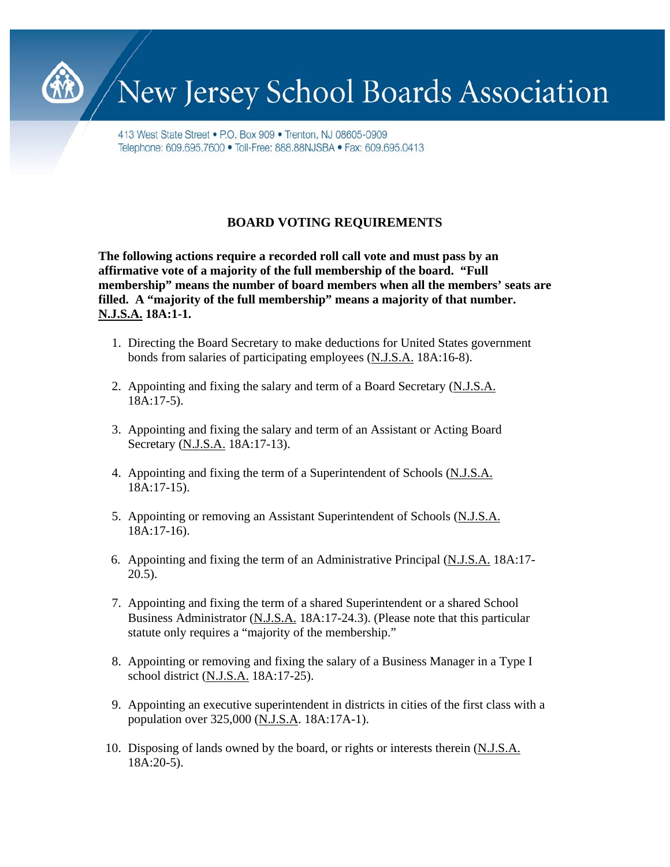

# New Jersey School Boards Association

413 West State Street • P.O. Box 909 • Trenton, NJ 08605-0909 Telephone: 609.695.7600 • Toll-Free: 888.88NJSBA • Fax: 609.695.0413

## **BOARD VOTING REQUIREMENTS**

**The following actions require a recorded roll call vote and must pass by an affirmative vote of a majority of the full membership of the board. "Full membership" means the number of board members when all the members' seats are filled. A "majority of the full membership" means a majority of that number. N.J.S.A. 18A:1-1.**

- 1. Directing the Board Secretary to make deductions for United States government bonds from salaries of participating employees (N.J.S.A. 18A:16-8).
- 2. Appointing and fixing the salary and term of a Board Secretary (N.J.S.A.  $18A:17-5$ ).
- 3. Appointing and fixing the salary and term of an Assistant or Acting Board Secretary (N.J.S.A. 18A:17-13).
- 4. Appointing and fixing the term of a Superintendent of Schools (N.J.S.A. 18A:17-15).
- 5. Appointing or removing an Assistant Superintendent of Schools (N.J.S.A. 18A:17-16).
- 6. Appointing and fixing the term of an Administrative Principal (N.J.S.A. 18A:17- 20.5).
- 7. Appointing and fixing the term of a shared Superintendent or a shared School Business Administrator (N.J.S.A. 18A:17-24.3). (Please note that this particular statute only requires a "majority of the membership."
- 8. Appointing or removing and fixing the salary of a Business Manager in a Type I school district (N.J.S.A. 18A:17-25).
- 9. Appointing an executive superintendent in districts in cities of the first class with a population over 325,000 (N.J.S.A. 18A:17A-1).
- 10. Disposing of lands owned by the board, or rights or interests therein (N.J.S.A. 18A:20-5).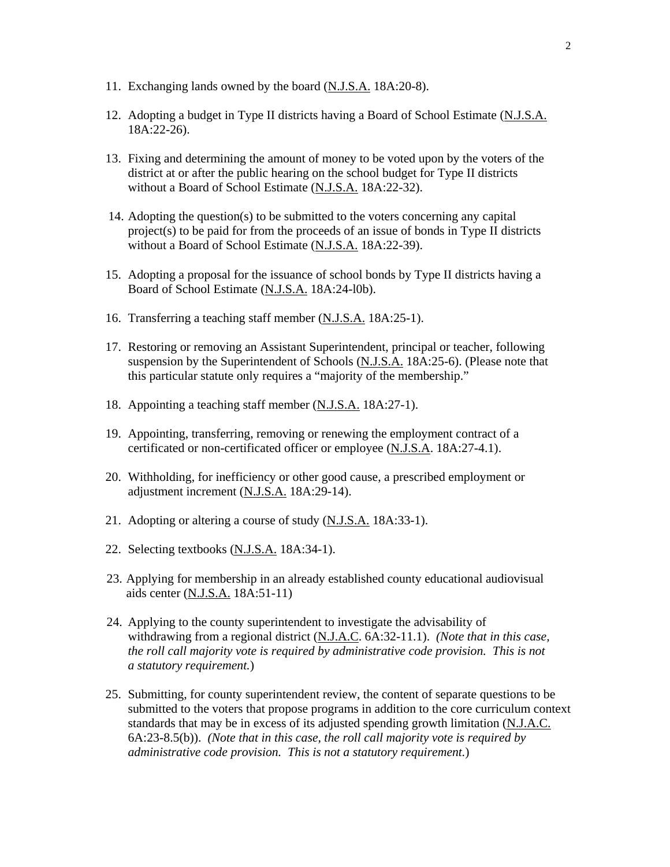- 11. Exchanging lands owned by the board (N.J.S.A. 18A:20-8).
- 12. Adopting a budget in Type II districts having a Board of School Estimate (N.J.S.A. 18A:22-26).
- 13. Fixing and determining the amount of money to be voted upon by the voters of the district at or after the public hearing on the school budget for Type II districts without a Board of School Estimate (N.J.S.A. 18A:22-32).
- 14. Adopting the question(s) to be submitted to the voters concerning any capital  $project(s)$  to be paid for from the proceeds of an issue of bonds in Type II districts without a Board of School Estimate (N.J.S.A. 18A:22-39).
- 15. Adopting a proposal for the issuance of school bonds by Type II districts having a Board of School Estimate (N.J.S.A. 18A:24-l0b).
- 16. Transferring a teaching staff member (N.J.S.A. 18A:25-1).
- 17. Restoring or removing an Assistant Superintendent, principal or teacher, following suspension by the Superintendent of Schools (N.J.S.A. 18A:25-6). (Please note that this particular statute only requires a "majority of the membership."
- 18. Appointing a teaching staff member (N.J.S.A. 18A:27-1).
- 19. Appointing, transferring, removing or renewing the employment contract of a certificated or non-certificated officer or employee (N.J.S.A. 18A:27-4.1).
- 20. Withholding, for inefficiency or other good cause, a prescribed employment or adjustment increment (N.J.S.A. 18A:29-14).
- 21. Adopting or altering a course of study (N.J.S.A. 18A:33-1).
- 22. Selecting textbooks (N.J.S.A. 18A:34-1).
- 23. Applying for membership in an already established county educational audiovisual aids center (N.J.S.A. 18A:51-11)
- 24. Applying to the county superintendent to investigate the advisability of withdrawing from a regional district (N.J.A.C. 6A:32-11.1). *(Note that in this case, the roll call majority vote is required by administrative code provision. This is not a statutory requirement.*)
- 25. Submitting, for county superintendent review, the content of separate questions to be submitted to the voters that propose programs in addition to the core curriculum context standards that may be in excess of its adjusted spending growth limitation (N.J.A.C. 6A:23-8.5(b)). *(Note that in this case, the roll call majority vote is required by administrative code provision. This is not a statutory requirement.*)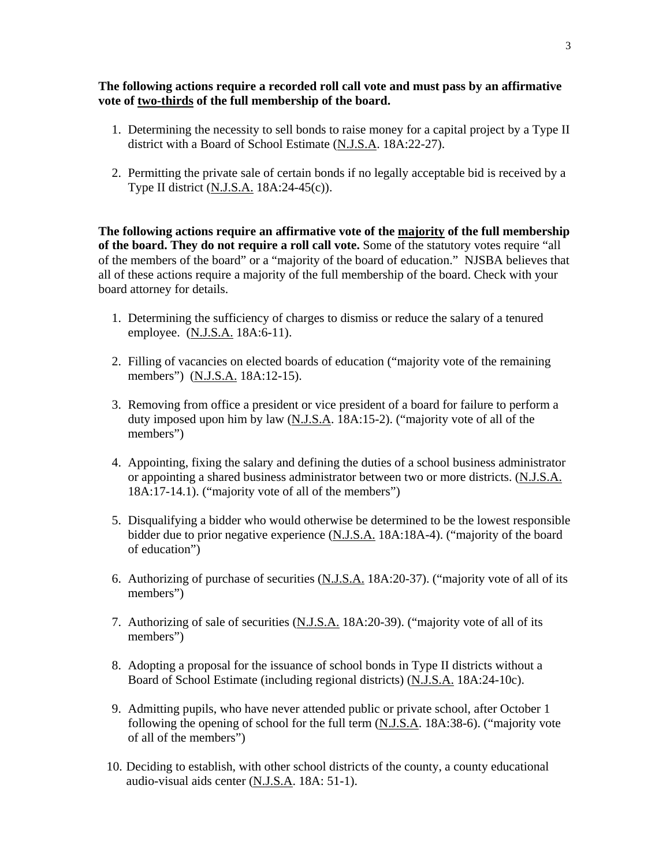#### **The following actions require a recorded roll call vote and must pass by an affirmative vote of two-thirds of the full membership of the board.**

- 1. Determining the necessity to sell bonds to raise money for a capital project by a Type II district with a Board of School Estimate (N.J.S.A. 18A:22-27).
- 2. Permitting the private sale of certain bonds if no legally acceptable bid is received by a Type II district (N.J.S.A. 18A:24-45(c)).

**The following actions require an affirmative vote of the majority of the full membership of the board. They do not require a roll call vote.** Some of the statutory votes require "all of the members of the board" or a "majority of the board of education." NJSBA believes that all of these actions require a majority of the full membership of the board. Check with your board attorney for details.

- 1. Determining the sufficiency of charges to dismiss or reduce the salary of a tenured employee. (N.J.S.A. 18A:6-11).
- 2. Filling of vacancies on elected boards of education ("majority vote of the remaining members") (N.J.S.A. 18A:12-15).
- 3. Removing from office a president or vice president of a board for failure to perform a duty imposed upon him by law (N.J.S.A. 18A:15-2). ("majority vote of all of the members")
- 4. Appointing, fixing the salary and defining the duties of a school business administrator or appointing a shared business administrator between two or more districts. (N.J.S.A. 18A:17-14.1). ("majority vote of all of the members")
- 5. Disqualifying a bidder who would otherwise be determined to be the lowest responsible bidder due to prior negative experience (N.J.S.A. 18A:18A-4). ("majority of the board of education")
- 6. Authorizing of purchase of securities (N.J.S.A. 18A:20-37). ("majority vote of all of its members")
- 7. Authorizing of sale of securities (N.J.S.A. 18A:20-39). ("majority vote of all of its members")
- 8. Adopting a proposal for the issuance of school bonds in Type II districts without a Board of School Estimate (including regional districts) (N.J.S.A. 18A:24-10c).
- 9. Admitting pupils, who have never attended public or private school, after October 1 following the opening of school for the full term (N.J.S.A. 18A:38-6). ("majority vote of all of the members")
- 10. Deciding to establish, with other school districts of the county, a county educational audio-visual aids center (N.J.S.A. 18A: 51-1).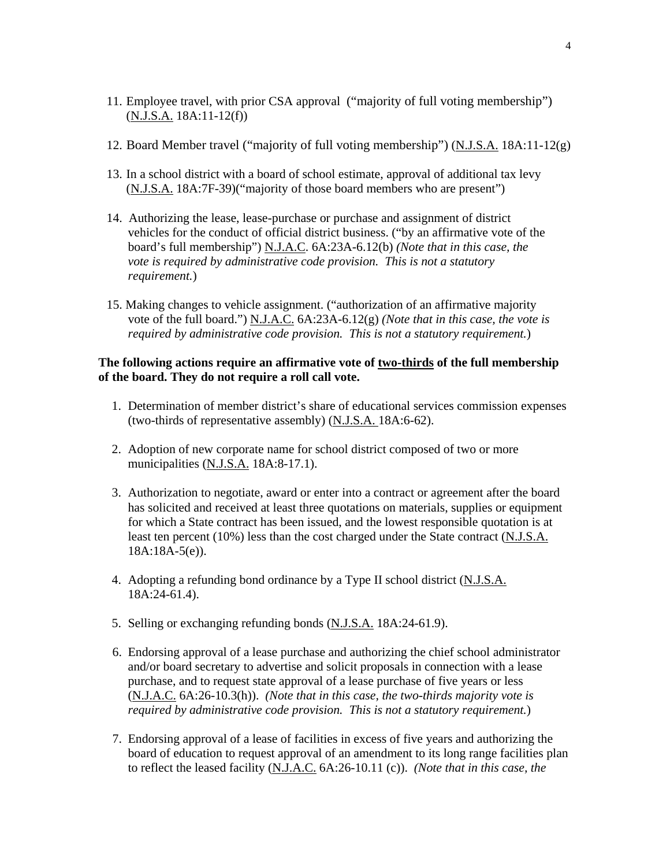- 11. Employee travel, with prior CSA approval ("majority of full voting membership") (N.J.S.A. 18A:11-12(f))
- 12. Board Member travel ("majority of full voting membership") (N.J.S.A. 18A:11-12(g)
- 13. In a school district with a board of school estimate, approval of additional tax levy (N.J.S.A. 18A:7F-39)("majority of those board members who are present")
- 14. Authorizing the lease, lease-purchase or purchase and assignment of district vehicles for the conduct of official district business. ("by an affirmative vote of the board's full membership") N.J.A.C. 6A:23A-6.12(b) *(Note that in this case, the vote is required by administrative code provision. This is not a statutory requirement.*)
- 15. Making changes to vehicle assignment. ("authorization of an affirmative majority vote of the full board.") N.J.A.C. 6A:23A-6.12(g) *(Note that in this case, the vote is required by administrative code provision. This is not a statutory requirement.*)

#### **The following actions require an affirmative vote of two-thirds of the full membership of the board. They do not require a roll call vote.**

- 1. Determination of member district's share of educational services commission expenses (two-thirds of representative assembly) (N.J.S.A. 18A:6-62).
- 2. Adoption of new corporate name for school district composed of two or more municipalities (N.J.S.A. 18A:8-17.1).
- 3. Authorization to negotiate, award or enter into a contract or agreement after the board has solicited and received at least three quotations on materials, supplies or equipment for which a State contract has been issued, and the lowest responsible quotation is at least ten percent (10%) less than the cost charged under the State contract (N.J.S.A. 18A:18A-5(e)).
- 4. Adopting a refunding bond ordinance by a Type II school district (N.J.S.A. 18A:24-61.4).
- 5. Selling or exchanging refunding bonds (N.J.S.A. 18A:24-61.9).
- 6. Endorsing approval of a lease purchase and authorizing the chief school administrator and/or board secretary to advertise and solicit proposals in connection with a lease purchase, and to request state approval of a lease purchase of five years or less (N.J.A.C. 6A:26-10.3(h)). *(Note that in this case, the two-thirds majority vote is required by administrative code provision. This is not a statutory requirement.*)
- 7. Endorsing approval of a lease of facilities in excess of five years and authorizing the board of education to request approval of an amendment to its long range facilities plan to reflect the leased facility (N.J.A.C. 6A:26-10.11 (c)). *(Note that in this case, the*